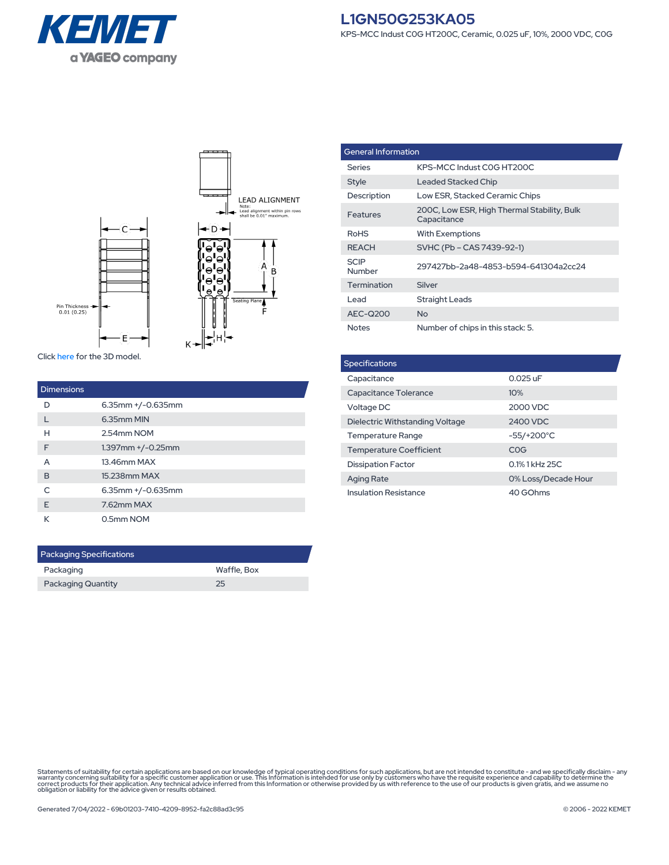



Click [here](https://connect.kemet.com:7667/gateway/IntelliData-ComponentDocumentation/1.0/download/step/L1GN50G253KA05.step) for the 3D model.

| <b>Dimensions</b> |                         |
|-------------------|-------------------------|
| D                 | $6.35$ mm $+/-0.635$ mm |
|                   | 6.35mm MIN              |
| н                 | 2.54mm NOM              |
| F                 | $1.397$ mm $+/-0.25$ mm |
| A                 | 13.46mm MAX             |
| B                 | 15.238mm MAX            |
| $\subset$         | $6.35$ mm $+/-0.635$ mm |
| F                 | 7.62mm MAX              |
| К                 | 0.5mm NOM               |

| <b>Packaging Specifications</b> |             |  |  |
|---------------------------------|-------------|--|--|
| Packaging                       | Waffle, Box |  |  |
| <b>Packaging Quantity</b>       | つら          |  |  |

| <b>General Information</b> |                                                            |  |
|----------------------------|------------------------------------------------------------|--|
| Series                     | KPS-MCC Indust COG HT200C                                  |  |
| Style                      | Leaded Stacked Chip                                        |  |
| Description                | Low ESR, Stacked Ceramic Chips                             |  |
| Features                   | 200C, Low ESR, High Thermal Stability, Bulk<br>Capacitance |  |
| <b>RoHS</b>                | <b>With Exemptions</b>                                     |  |
| <b>REACH</b>               | SVHC (Pb – CAS 7439-92-1)                                  |  |
| <b>SCIP</b><br>Number      | 297427bb-2a48-4853-b594-641304a2cc24                       |  |
| <b>Termination</b>         | Silver                                                     |  |
| I ead                      | <b>Straight Leads</b>                                      |  |
| AEC-Q200                   | <b>No</b>                                                  |  |
| <b>Notes</b>               | Number of chips in this stack: 5.                          |  |

| <b>Specifications</b>           |                     |  |  |  |
|---------------------------------|---------------------|--|--|--|
| Capacitance                     | $0.025$ uF          |  |  |  |
| Capacitance Tolerance           | 10%                 |  |  |  |
| Voltage DC                      | 2000 VDC            |  |  |  |
| Dielectric Withstanding Voltage | 2400 VDC            |  |  |  |
| <b>Temperature Range</b>        | $-55/+200°C$        |  |  |  |
| <b>Temperature Coefficient</b>  | COG                 |  |  |  |
| <b>Dissipation Factor</b>       | 0.1% 1 kHz 25C      |  |  |  |
| <b>Aging Rate</b>               | 0% Loss/Decade Hour |  |  |  |
| <b>Insulation Resistance</b>    | 40 GOhms            |  |  |  |

Statements of suitability for certain applications are based on our knowledge of typical operating conditions for such applications, but are not intended to constitute - and we specifically disclaim - any<br>warranty concerni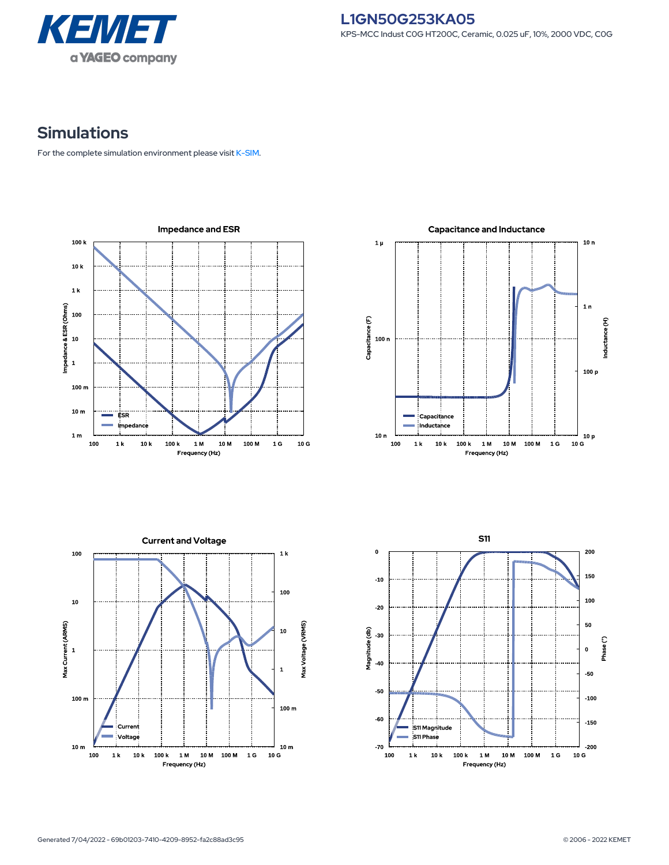

## **Simulations**

For the complete simulation environment please visit [K-SIM](https://ksim.kemet.com/?pn=L1GN50G253KA05).

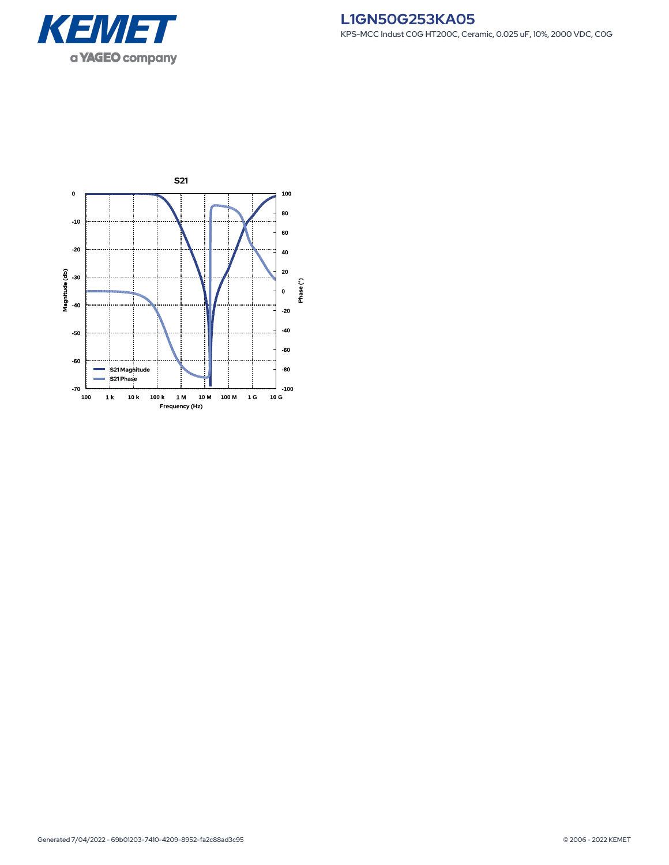